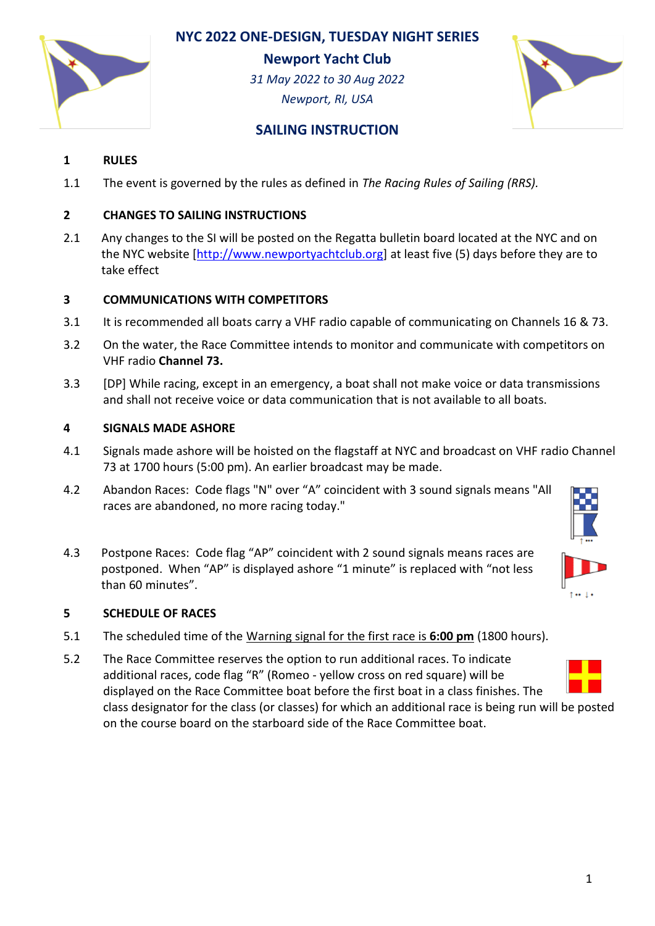# **NYC 2022 ONE-DESIGN, TUESDAY NIGHT SERIES**

**Newport Yacht Club**

*31 May 2022 to 30 Aug 2022 Newport, RI, USA*



# **SAILING INSTRUCTION**

## **1 RULES**

1.1 The event is governed by the rules as defined in *The Racing Rules of Sailing (RRS).*

## **2 CHANGES TO SAILING INSTRUCTIONS**

2.1 Any changes to the SI will be posted on the Regatta bulletin board located at the NYC and on the NYC website [\[http://www.newportyachtclub.org\]](http://www.newportyachtclub.org/) at least five (5) days before they are to take effect

## **3 COMMUNICATIONS WITH COMPETITORS**

- 3.1 It is recommended all boats carry a VHF radio capable of communicating on Channels 16 & 73.
- 3.2 On the water, the Race Committee intends to monitor and communicate with competitors on VHF radio **Channel 73.**
- 3.3 [DP] While racing, except in an emergency, a boat shall not make voice or data transmissions and shall not receive voice or data communication that is not available to all boats.

## **4 SIGNALS MADE ASHORE**

- 4.1 Signals made ashore will be hoisted on the flagstaff at NYC and broadcast on VHF radio Channel 73 at 1700 hours (5:00 pm). An earlier broadcast may be made.
- 4.2 Abandon Races: Code flags "N" over "A" coincident with 3 sound signals means "All races are abandoned, no more racing today."
- 4.3 Postpone Races: Code flag "AP" coincident with 2 sound signals means races are postponed. When "AP" is displayed ashore "1 minute" is replaced with "not less than 60 minutes".

## **5 SCHEDULE OF RACES**

- 5.1 The scheduled time of the Warning signal for the first race is **6:00 pm** (1800 hours).
- 5.2 The Race Committee reserves the option to run additional races. To indicate additional races, code flag "R" (Romeo - yellow cross on red square) will be displayed on the Race Committee boat before the first boat in a class finishes. The class designator for the class (or classes) for which an additional race is being run will be posted on the course board on the starboard side of the Race Committee boat.

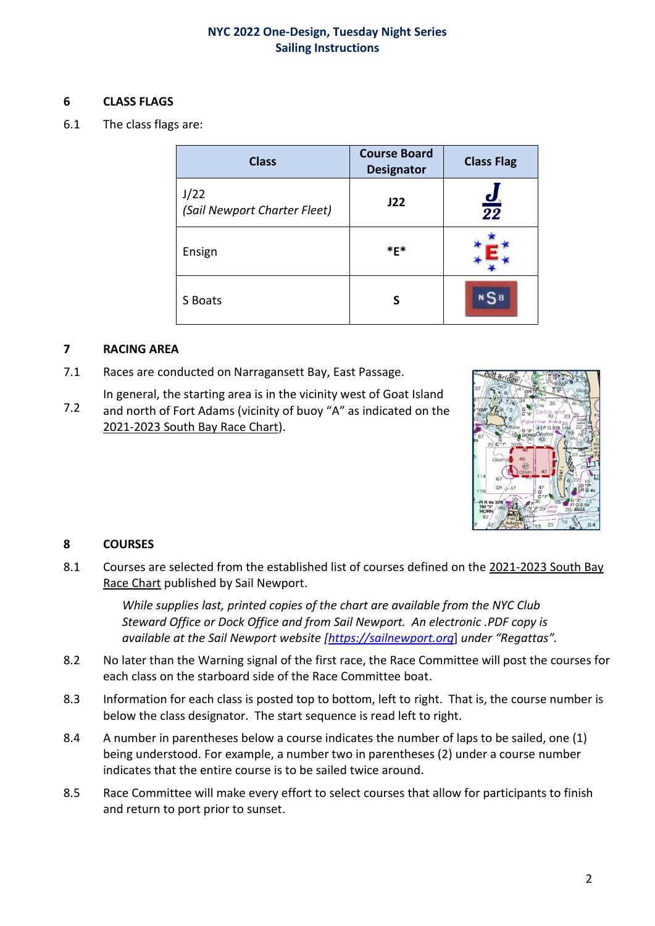## **6 CLASS FLAGS**

6.1 The class flags are:

| <b>Class</b>                         | <b>Course Board</b><br><b>Designator</b> | <b>Class Flag</b>           |
|--------------------------------------|------------------------------------------|-----------------------------|
| J/22<br>(Sail Newport Charter Fleet) | J22                                      | $\frac{\boldsymbol{d}}{22}$ |
| Ensign                               | $*$ E $*$                                |                             |
| S Boats                              | S                                        | 5 в                         |

#### **7 RACING AREA**

- 7.1 Races are conducted on Narragansett Bay, East Passage.
- 7.2 In general, the starting area is in the vicinity west of Goat Island and north of Fort Adams (vicinity of buoy "A" as indicated on the 2021-2023 South Bay Race Chart).



## **8 COURSES**

8.1 Courses are selected from the established list of courses defined on the 2021-2023 South Bay Race Chart published by Sail Newport.

> *While supplies last, printed copies of the chart are available from the NYC Club Steward Office or Dock Office and from Sail Newport. An electronic .PDF copy is available at the Sail Newport website [\[https://sailnewport.org](https://sailnewport.org/)*] *under "Regattas".*

- 8.2 No later than the Warning signal of the first race, the Race Committee will post the courses for each class on the starboard side of the Race Committee boat.
- 8.3 Information for each class is posted top to bottom, left to right. That is, the course number is below the class designator. The start sequence is read left to right.
- 8.4 A number in parentheses below a course indicates the number of laps to be sailed, one (1) being understood. For example, a number two in parentheses (2) under a course number indicates that the entire course is to be sailed twice around.
- 8.5 Race Committee will make every effort to select courses that allow for participants to finish and return to port prior to sunset.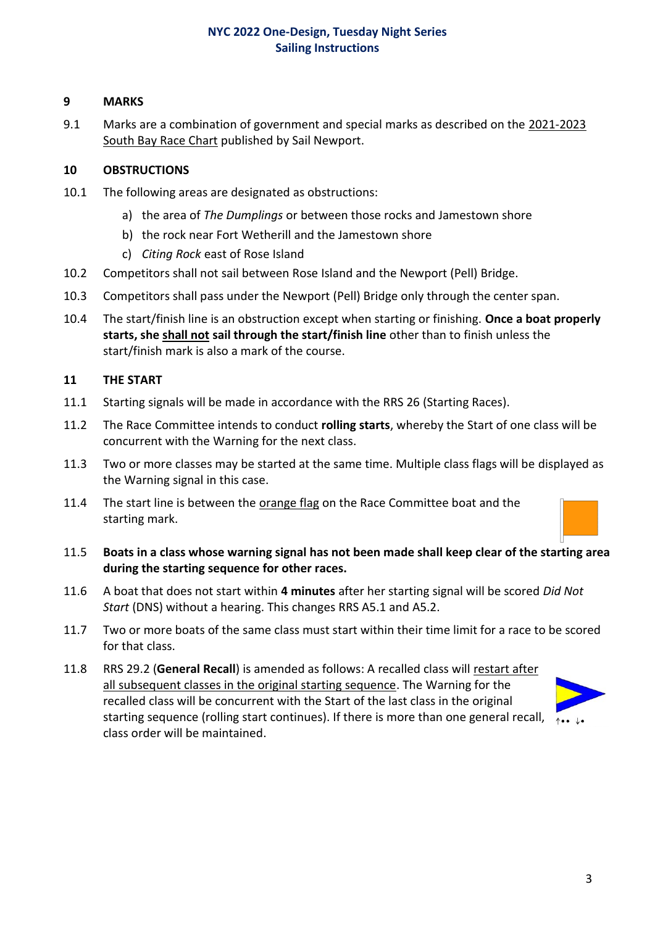## **9 MARKS**

9.1 Marks are a combination of government and special marks as described on the 2021-2023 South Bay Race Chart published by Sail Newport.

## **10 OBSTRUCTIONS**

- 10.1 The following areas are designated as obstructions:
	- a) the area of *The Dumplings* or between those rocks and Jamestown shore
	- b) the rock near Fort Wetherill and the Jamestown shore
	- c) *Citing Rock* east of Rose Island
- 10.2 Competitors shall not sail between Rose Island and the Newport (Pell) Bridge.
- 10.3 Competitors shall pass under the Newport (Pell) Bridge only through the center span.
- 10.4 The start/finish line is an obstruction except when starting or finishing. **Once a boat properly starts, she shall not sail through the start/finish line** other than to finish unless the start/finish mark is also a mark of the course.

#### **11 THE START**

- 11.1 Starting signals will be made in accordance with the RRS 26 (Starting Races).
- 11.2 The Race Committee intends to conduct **rolling starts**, whereby the Start of one class will be concurrent with the Warning for the next class.
- 11.3 Two or more classes may be started at the same time. Multiple class flags will be displayed as the Warning signal in this case.
- 11.4 The start line is between the orange flag on the Race Committee boat and the starting mark.
- 11.5 **Boats in a class whose warning signal has not been made shall keep clear of the starting area during the starting sequence for other races.**
- 11.6 A boat that does not start within **4 minutes** after her starting signal will be scored *Did Not Start* (DNS) without a hearing. This changes RRS A5.1 and A5.2.
- 11.7 Two or more boats of the same class must start within their time limit for a race to be scored for that class.
- 11.8 RRS 29.2 (**General Recall**) is amended as follows: A recalled class will restart after all subsequent classes in the original starting sequence. The Warning for the recalled class will be concurrent with the Start of the last class in the original starting sequence (rolling start continues). If there is more than one general recall,  $\lambda_{\bullet\bullet}$   $\lambda_{\bullet\bullet}$ class order will be maintained.

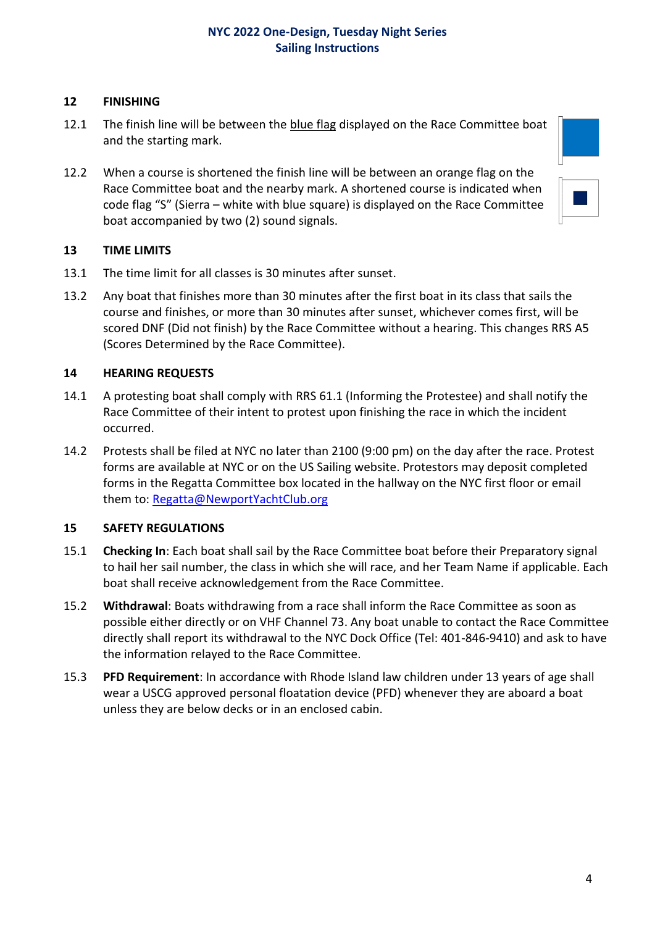## **12 FINISHING**

- 12.1 The finish line will be between the blue flag displayed on the Race Committee boat and the starting mark.
- 12.2 When a course is shortened the finish line will be between an orange flag on the Race Committee boat and the nearby mark. A shortened course is indicated when code flag "S" (Sierra – white with blue square) is displayed on the Race Committee boat accompanied by two (2) sound signals.



#### **13 TIME LIMITS**

- 13.1 The time limit for all classes is 30 minutes after sunset.
- 13.2 Any boat that finishes more than 30 minutes after the first boat in its class that sails the course and finishes, or more than 30 minutes after sunset, whichever comes first, will be scored DNF (Did not finish) by the Race Committee without a hearing. This changes RRS A5 (Scores Determined by the Race Committee).

#### **14 HEARING REQUESTS**

- 14.1 A protesting boat shall comply with RRS 61.1 (Informing the Protestee) and shall notify the Race Committee of their intent to protest upon finishing the race in which the incident occurred.
- 14.2 Protests shall be filed at NYC no later than 2100 (9:00 pm) on the day after the race. Protest forms are available at NYC or on the US Sailing website. Protestors may deposit completed forms in the Regatta Committee box located in the hallway on the NYC first floor or email them to: [Regatta@NewportYachtClub.org](mailto:Regatta@NewportYachtClub.org)

#### **15 SAFETY REGULATIONS**

- 15.1 **Checking In**: Each boat shall sail by the Race Committee boat before their Preparatory signal to hail her sail number, the class in which she will race, and her Team Name if applicable. Each boat shall receive acknowledgement from the Race Committee.
- 15.2 **Withdrawal**: Boats withdrawing from a race shall inform the Race Committee as soon as possible either directly or on VHF Channel 73. Any boat unable to contact the Race Committee directly shall report its withdrawal to the NYC Dock Office (Tel: 401-846-9410) and ask to have the information relayed to the Race Committee.
- 15.3 **PFD Requirement**: In accordance with Rhode Island law children under 13 years of age shall wear a USCG approved personal floatation device (PFD) whenever they are aboard a boat unless they are below decks or in an enclosed cabin.